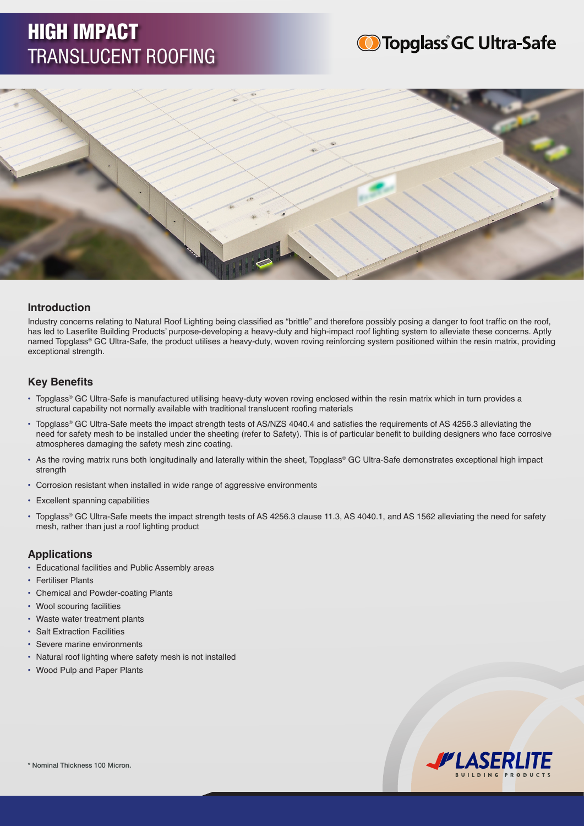# HIGH IMPACT TRANSLUCENT ROOFING





# **Introduction**

Industry concerns relating to Natural Roof Lighting being classified as "brittle" and therefore possibly posing a danger to foot traffic on the roof, has led to Laserlite Building Products' purpose-developing a heavy-duty and high-impact roof lighting system to alleviate these concerns. Aptly named Topglass® GC Ultra-Safe, the product utilises a heavy-duty, woven roving reinforcing system positioned within the resin matrix, providing exceptional strength.

# **Key Benefits**

- Topglass® GC Ultra-Safe is manufactured utilising heavy-duty woven roving enclosed within the resin matrix which in turn provides a structural capability not normally available with traditional translucent roofing materials
- Topglass® GC Ultra-Safe meets the impact strength tests of AS/NZS 4040.4 and satisfies the requirements of AS 4256.3 alleviating the need for safety mesh to be installed under the sheeting (refer to Safety). This is of particular benefit to building designers who face corrosive atmospheres damaging the safety mesh zinc coating.
- As the roving matrix runs both longitudinally and laterally within the sheet, Topglass® GC Ultra-Safe demonstrates exceptional high impact strength
- Corrosion resistant when installed in wide range of aggressive environments
- Excellent spanning capabilities
- Topglass® GC Ultra-Safe meets the impact strength tests of AS 4256.3 clause 11.3, AS 4040.1, and AS 1562 alleviating the need for safety mesh, rather than just a roof lighting product

### **Applications**

- Educational facilities and Public Assembly areas
- **Fertiliser Plants**
- Chemical and Powder-coating Plants
- Wool scouring facilities
- Waste water treatment plants
- **Salt Extraction Facilities**
- Severe marine environments
- Natural roof lighting where safety mesh is not installed
- Wood Pulp and Paper Plants